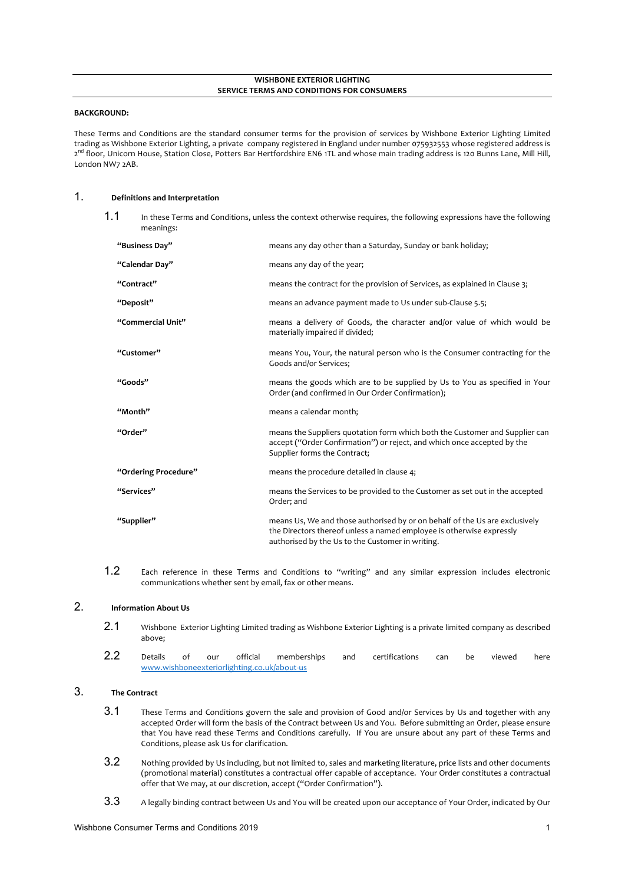#### **WISHBONE EXTERIOR LIGHTING SERVICE TERMS AND CONDITIONS FOR CONSUMERS**

#### **BACKGROUND:**

These Terms and Conditions are the standard consumer terms for the provision of services by Wishbone Exterior Lighting Limited trading as Wishbone Exterior Lighting, a private company registered in England under number 075932553 whose registered address is 2<sup>nd</sup> floor, Unicorn House, Station Close, Potters Bar Hertfordshire EN6 1TL and whose main trading address is 120 Bunns Lane, Mill Hill, London NW7 2AB.

### 1. **Definitions and Interpretation**

1.1 In these Terms and Conditions, unless the context otherwise requires, the following expressions have the following meanings:

| "Business Day"       | means any day other than a Saturday, Sunday or bank holiday;                                                                                                                                            |
|----------------------|---------------------------------------------------------------------------------------------------------------------------------------------------------------------------------------------------------|
| "Calendar Day"       | means any day of the year;                                                                                                                                                                              |
| "Contract"           | means the contract for the provision of Services, as explained in Clause 3;                                                                                                                             |
| "Deposit"            | means an advance payment made to Us under sub-Clause 5.5;                                                                                                                                               |
| "Commercial Unit"    | means a delivery of Goods, the character and/or value of which would be<br>materially impaired if divided;                                                                                              |
| "Customer"           | means You, Your, the natural person who is the Consumer contracting for the<br>Goods and/or Services;                                                                                                   |
| "Goods"              | means the goods which are to be supplied by Us to You as specified in Your<br>Order (and confirmed in Our Order Confirmation);                                                                          |
| "Month"              | means a calendar month;                                                                                                                                                                                 |
| "Order"              | means the Suppliers quotation form which both the Customer and Supplier can<br>accept ("Order Confirmation") or reject, and which once accepted by the<br>Supplier forms the Contract;                  |
| "Ordering Procedure" | means the procedure detailed in clause 4;                                                                                                                                                               |
| "Services"           | means the Services to be provided to the Customer as set out in the accepted<br>Order; and                                                                                                              |
| "Supplier"           | means Us, We and those authorised by or on behalf of the Us are exclusively<br>the Directors thereof unless a named employee is otherwise expressly<br>authorised by the Us to the Customer in writing. |

1.2 Each reference in these Terms and Conditions to "writing" and any similar expression includes electronic communications whether sent by email, fax or other means.

# 2. **Information About Us**

- 2.1 Wishbone Exterior Lighting Limited trading as Wishbone Exterior Lighting is a private limited company as described above;
- 2.2 Details of our official memberships and certifications can be viewed here www.wishboneexteriorlighting.co.uk/about-us

### 3. **The Contract**

- 3.1 These Terms and Conditions govern the sale and provision of Good and/or Services by Us and together with any accepted Order will form the basis of the Contract between Us and You. Before submitting an Order, please ensure that You have read these Terms and Conditions carefully. If You are unsure about any part of these Terms and Conditions, please ask Us for clarification.
- 3.2 Nothing provided by Us including, but not limited to, sales and marketing literature, price lists and other documents (promotional material) constitutes a contractual offer capable of acceptance. Your Order constitutes a contractual offer that We may, at our discretion, accept ("Order Confirmation").
- 3.3 A legally binding contract between Us and You will be created upon our acceptance of Your Order, indicated by Our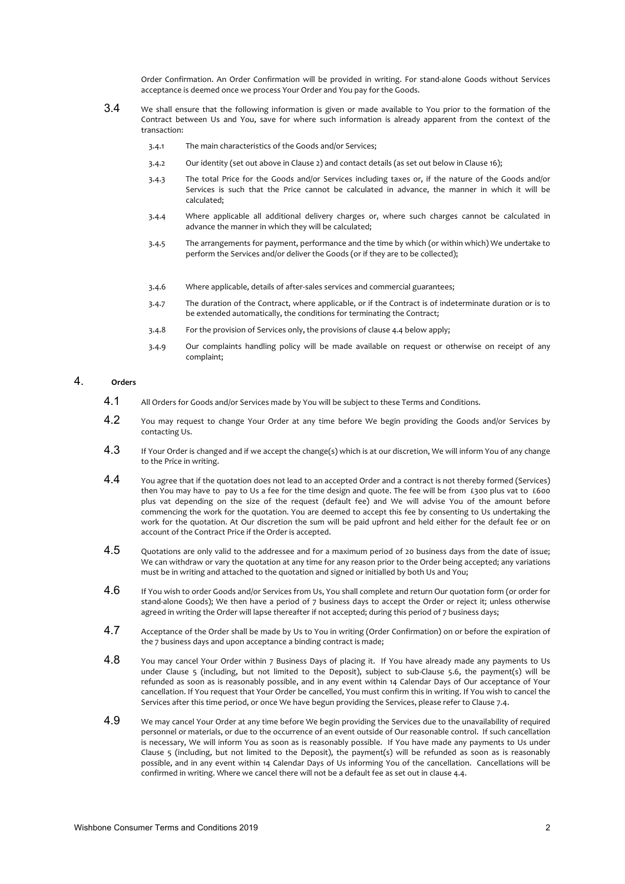Order Confirmation. An Order Confirmation will be provided in writing. For stand-alone Goods without Services acceptance is deemed once we process Your Order and You pay for the Goods.

- 3.4 We shall ensure that the following information is given or made available to You prior to the formation of the Contract between Us and You, save for where such information is already apparent from the context of the transaction:
	- 3.4.1 The main characteristics of the Goods and/or Services;
	- 3.4.2 Our identity (set out above in Clause 2) and contact details (as set out below in Clause 16);
	- 3.4.3 The total Price for the Goods and/or Services including taxes or, if the nature of the Goods and/or Services is such that the Price cannot be calculated in advance, the manner in which it will be calculated;
	- 3.4.4 Where applicable all additional delivery charges or, where such charges cannot be calculated in advance the manner in which they will be calculated;
	- 3.4.5 The arrangements for payment, performance and the time by which (or within which) We undertake to perform the Services and/or deliver the Goods (or if they are to be collected);
	- 3.4.6 Where applicable, details of after-sales services and commercial guarantees;
	- 3.4.7 The duration of the Contract, where applicable, or if the Contract is of indeterminate duration or is to be extended automatically, the conditions for terminating the Contract;
	- 3.4.8 For the provision of Services only, the provisions of clause 4.4 below apply;
	- 3.4.9 Our complaints handling policy will be made available on request or otherwise on receipt of any complaint;

# 4. **Orders**

- 4.1 All Orders for Goods and/or Services made by You will be subject to these Terms and Conditions.
- 4.2 You may request to change Your Order at any time before We begin providing the Goods and/or Services by contacting Us.
- 4.3 If Your Order is changed and if we accept the change(s) which is at our discretion, We will inform You of any change to the Price in writing.
- 4.4 You agree that if the quotation does not lead to an accepted Order and a contract is not thereby formed (Services) then You may have to pay to Us a fee for the time design and quote. The fee will be from £300 plus vat to £600 plus vat depending on the size of the request (default fee) and We will advise You of the amount before commencing the work for the quotation. You are deemed to accept this fee by consenting to Us undertaking the work for the quotation. At Our discretion the sum will be paid upfront and held either for the default fee or on account of the Contract Price if the Order is accepted.
- 4.5 Quotations are only valid to the addressee and for a maximum period of 20 business days from the date of issue; We can withdraw or vary the quotation at any time for any reason prior to the Order being accepted; any variations must be in writing and attached to the quotation and signed or initialled by both Us and You;
- 4.6 If You wish to order Goods and/or Services from Us, You shall complete and return Our quotation form (or order for stand-alone Goods); We then have a period of 7 business days to accept the Order or reject it; unless otherwise agreed in writing the Order will lapse thereafter if not accepted; during this period of 7 business days;
- 4.7 Acceptance of the Order shall be made by Us to You in writing (Order Confirmation) on or before the expiration of the 7 business days and upon acceptance a binding contract is made;
- 4.8 You may cancel Your Order within 7 Business Days of placing it. If You have already made any payments to Us under Clause 5 (including, but not limited to the Deposit), subject to sub-Clause 5.6, the payment(s) will be refunded as soon as is reasonably possible, and in any event within 14 Calendar Days of Our acceptance of Your cancellation. If You request that Your Order be cancelled, You must confirm this in writing. If You wish to cancel the Services after this time period, or once We have begun providing the Services, please refer to Clause 7.4.
- 4.9 We may cancel Your Order at any time before We begin providing the Services due to the unavailability of required personnel or materials, or due to the occurrence of an event outside of Our reasonable control. If such cancellation is necessary, We will inform You as soon as is reasonably possible. If You have made any payments to Us under Clause 5 (including, but not limited to the Deposit), the payment(s) will be refunded as soon as is reasonably possible, and in any event within 14 Calendar Days of Us informing You of the cancellation. Cancellations will be confirmed in writing. Where we cancel there will not be a default fee as set out in clause 4.4.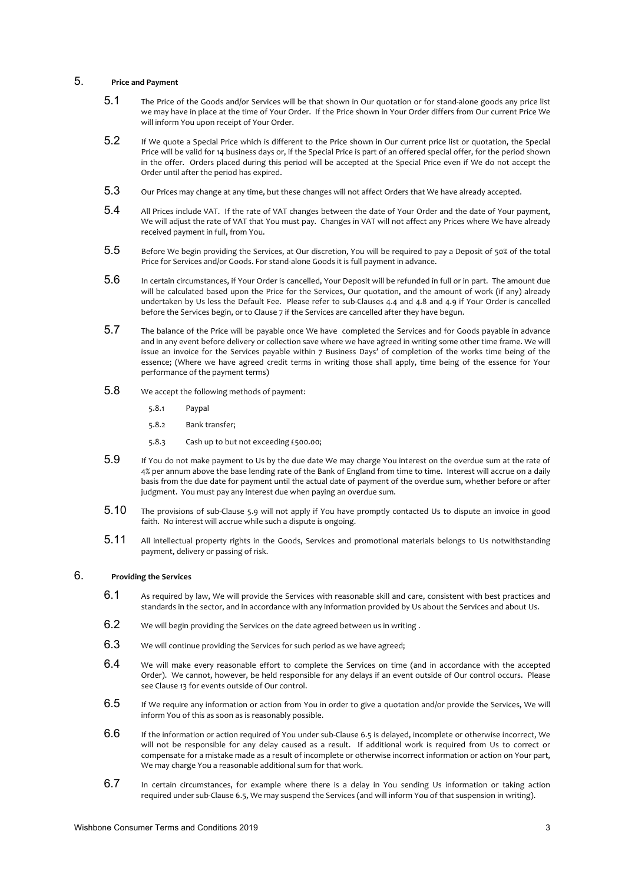## 5. **Price and Payment**

- 5.1 The Price of the Goods and/or Services will be that shown in Our quotation or for stand-alone goods any price list we may have in place at the time of Your Order. If the Price shown in Your Order differs from Our current Price We will inform You upon receipt of Your Order.
- 5.2 If We quote a Special Price which is different to the Price shown in Our current price list or quotation, the Special Price will be valid for 14 business days or, if the Special Price is part of an offered special offer, for the period shown in the offer. Orders placed during this period will be accepted at the Special Price even if We do not accept the Order until after the period has expired.
- 5.3 Our Prices may change at any time, but these changes will not affect Orders that We have already accepted.
- 5.4 All Prices include VAT. If the rate of VAT changes between the date of Your Order and the date of Your payment, We will adjust the rate of VAT that You must pay. Changes in VAT will not affect any Prices where We have already received payment in full, from You.
- $5.5$  Before We begin providing the Services, at Our discretion, You will be required to pay a Deposit of 50% of the total Price for Services and/or Goods. For stand-alone Goods it is full payment in advance.
- 5.6 In certain circumstances, if Your Order is cancelled, Your Deposit will be refunded in full or in part. The amount due will be calculated based upon the Price for the Services, Our quotation, and the amount of work (if any) already undertaken by Us less the Default Fee. Please refer to sub-Clauses 4.4 and 4.8 and 4.9 if Your Order is cancelled before the Services begin, or to Clause 7 if the Services are cancelled after they have begun.
- 5.7 The balance of the Price will be payable once We have completed the Services and for Goods payable in advance and in any event before delivery or collection save where we have agreed in writing some other time frame. We will issue an invoice for the Services payable within 7 Business Days' of completion of the works time being of the essence; (Where we have agreed credit terms in writing those shall apply, time being of the essence for Your performance of the payment terms)
- 5.8 We accept the following methods of payment:
	- 5.8.1 Paypal
	- 5.8.2 Bank transfer;
	- 5.8.3 Cash up to but not exceeding £500.00;
- 5.9 If You do not make payment to Us by the due date We may charge You interest on the overdue sum at the rate of 4% per annum above the base lending rate of the Bank of England from time to time. Interest will accrue on a daily basis from the due date for payment until the actual date of payment of the overdue sum, whether before or after judgment. You must pay any interest due when paying an overdue sum.
- 5.10 The provisions of sub-Clause 5.9 will not apply if You have promptly contacted Us to dispute an invoice in good faith. No interest will accrue while such a dispute is ongoing.
- 5.11 All intellectual property rights in the Goods, Services and promotional materials belongs to Us notwithstanding payment, delivery or passing of risk.

## 6. **Providing the Services**

- 6.1 As required by law, We will provide the Services with reasonable skill and care, consistent with best practices and standards in the sector, and in accordance with any information provided by Us about the Services and about Us.
- 6.2 We will begin providing the Services on the date agreed between us in writing.
- 6.3 We will continue providing the Services for such period as we have agreed;
- 6.4 We will make every reasonable effort to complete the Services on time (and in accordance with the accepted Order). We cannot, however, be held responsible for any delays if an event outside of Our control occurs. Please see Clause 13 for events outside of Our control.
- $6.5$  If We require any information or action from You in order to give a quotation and/or provide the Services, We will inform You of this as soon as is reasonably possible.
- $6.6$  If the information or action required of You under sub-Clause 6.5 is delayed, incomplete or otherwise incorrect, We will not be responsible for any delay caused as a result. If additional work is required from Us to correct or compensate for a mistake made as a result of incomplete or otherwise incorrect information or action on Your part, We may charge You a reasonable additional sum for that work.
- $6.7$  In certain circumstances, for example where there is a delay in You sending Us information or taking action required under sub-Clause 6.5, We may suspend the Services (and will inform You of that suspension in writing).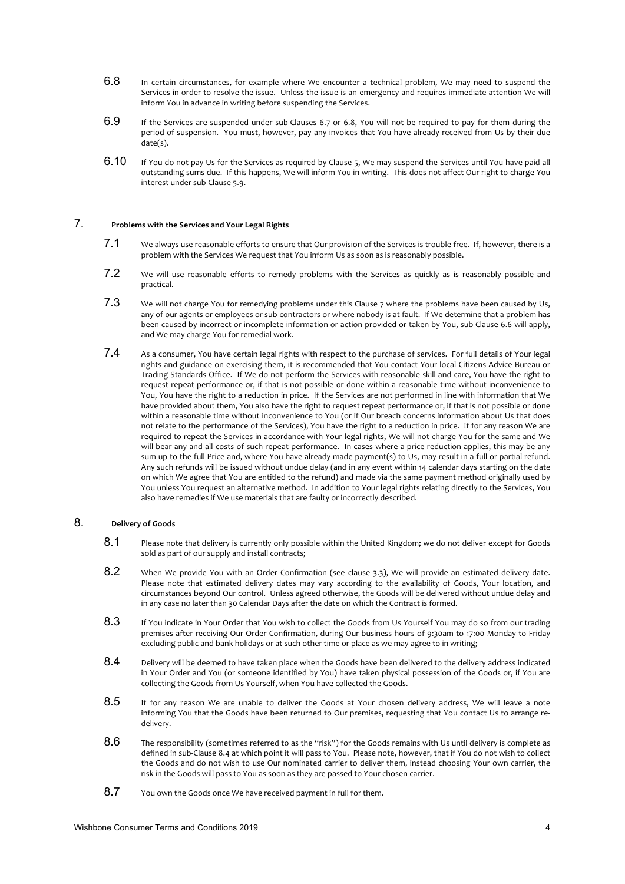- 6.8 In certain circumstances, for example where We encounter a technical problem, We may need to suspend the Services in order to resolve the issue. Unless the issue is an emergency and requires immediate attention We will inform You in advance in writing before suspending the Services.
- 6.9 If the Services are suspended under sub-Clauses 6.7 or 6.8, You will not be required to pay for them during the period of suspension. You must, however, pay any invoices that You have already received from Us by their due .<br>date(s).
- 6.10 If You do not pay Us for the Services as required by Clause 5, We may suspend the Services until You have paid all outstanding sums due. If this happens, We will inform You in writing. This does not affect Our right to charge You interest under sub-Clause 5.9.

# 7. **Problems with the Services and Your Legal Rights**

- 7.1 We always use reasonable efforts to ensure that Our provision of the Services is trouble-free. If, however, there is a problem with the Services We request that You inform Us as soon as is reasonably possible.
- 7.2 We will use reasonable efforts to remedy problems with the Services as quickly as is reasonably possible and practical.
- 7.3 We will not charge You for remedying problems under this Clause 7 where the problems have been caused by Us, any of our agents or employees or sub-contractors or where nobody is at fault. If We determine that a problem has been caused by incorrect or incomplete information or action provided or taken by You, sub-Clause 6.6 will apply, and We may charge You for remedial work.
- 7.4 As a consumer, You have certain legal rights with respect to the purchase of services. For full details of Your legal rights and guidance on exercising them, it is recommended that You contact Your local Citizens Advice Bureau or Trading Standards Office. If We do not perform the Services with reasonable skill and care, You have the right to request repeat performance or, if that is not possible or done within a reasonable time without inconvenience to You, You have the right to a reduction in price. If the Services are not performed in line with information that We have provided about them, You also have the right to request repeat performance or, if that is not possible or done within a reasonable time without inconvenience to You (or if Our breach concerns information about Us that does not relate to the performance of the Services), You have the right to a reduction in price. If for any reason We are required to repeat the Services in accordance with Your legal rights, We will not charge You for the same and We will bear any and all costs of such repeat performance. In cases where a price reduction applies, this may be any sum up to the full Price and, where You have already made payment(s) to Us, may result in a full or partial refund. Any such refunds will be issued without undue delay (and in any event within 14 calendar days starting on the date on which We agree that You are entitled to the refund) and made via the same payment method originally used by You unless You request an alternative method. In addition to Your legal rights relating directly to the Services, You also have remedies if We use materials that are faulty or incorrectly described.

# 8. **Delivery of Goods**

- 8.1 Please note that delivery is currently only possible within the United Kingdom**;** we do not deliver except for Goods sold as part of our supply and install contracts;
- 8.2 When We provide You with an Order Confirmation (see clause 3.3), We will provide an estimated delivery date. Please note that estimated delivery dates may vary according to the availability of Goods, Your location, and circumstances beyond Our control. Unless agreed otherwise, the Goods will be delivered without undue delay and in any case no later than 30 Calendar Days after the date on which the Contract is formed.
- 8.3 If You indicate in Your Order that You wish to collect the Goods from Us Yourself You may do so from our trading premises after receiving Our Order Confirmation, during Our business hours of 9:30am to 17:00 Monday to Friday excluding public and bank holidays or at such other time or place as we may agree to in writing;
- $8.4$  Delivery will be deemed to have taken place when the Goods have been delivered to the delivery address indicated in Your Order and You (or someone identified by You) have taken physical possession of the Goods or, if You are collecting the Goods from Us Yourself, when You have collected the Goods.
- 8.5 If for any reason We are unable to deliver the Goods at Your chosen delivery address, We will leave a note informing You that the Goods have been returned to Our premises, requesting that You contact Us to arrange redelivery.
- $8.6$  The responsibility (sometimes referred to as the "risk") for the Goods remains with Us until delivery is complete as defined in sub-Clause 8.4 at which point it will pass to You. Please note, however, that if You do not wish to collect the Goods and do not wish to use Our nominated carrier to deliver them, instead choosing Your own carrier, the risk in the Goods will pass to You as soon as they are passed to Your chosen carrier.
- 8.7 You own the Goods once We have received payment in full for them.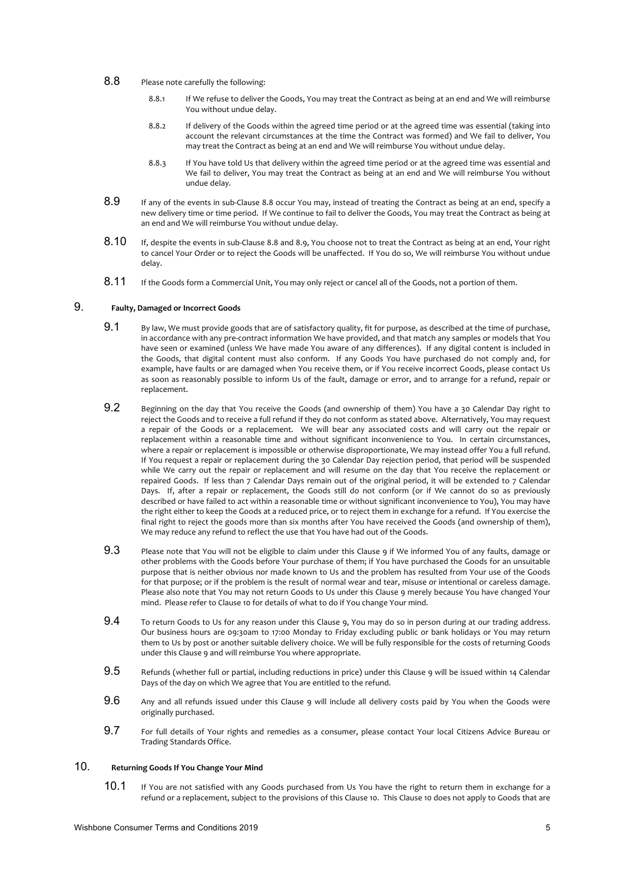- 8.8 Please note carefully the following:
	- 8.8.1 If We refuse to deliver the Goods, You may treat the Contract as being at an end and We will reimburse You without undue delay.
	- 8.8.2 If delivery of the Goods within the agreed time period or at the agreed time was essential (taking into account the relevant circumstances at the time the Contract was formed) and We fail to deliver, You may treat the Contract as being at an end and We will reimburse You without undue delay.
	- 8.8.3 If You have told Us that delivery within the agreed time period or at the agreed time was essential and We fail to deliver, You may treat the Contract as being at an end and We will reimburse You without undue delay.
- 8.9 If any of the events in sub-Clause 8.8 occur You may, instead of treating the Contract as being at an end, specify a new delivery time or time period. If We continue to fail to deliver the Goods, You may treat the Contract as being at an end and We will reimburse You without undue delay.
- 8.10 If, despite the events in sub-Clause 8.8 and 8.9, You choose not to treat the Contract as being at an end, Your right to cancel Your Order or to reject the Goods will be unaffected. If You do so, We will reimburse You without undue delay.
- 8.11 If the Goods form a Commercial Unit, You may only reject or cancel all of the Goods, not a portion of them.

## 9. **Faulty, Damaged or Incorrect Goods**

- 9.1 By law, We must provide goods that are of satisfactory quality, fit for purpose, as described at the time of purchase, in accordance with any pre-contract information We have provided, and that match any samples or models that You have seen or examined (unless We have made You aware of any differences). If any digital content is included in the Goods, that digital content must also conform. If any Goods You have purchased do not comply and, for example, have faults or are damaged when You receive them, or if You receive incorrect Goods, please contact Us as soon as reasonably possible to inform Us of the fault, damage or error, and to arrange for a refund, repair or replacement.
- 9.2 Beginning on the day that You receive the Goods (and ownership of them) You have a 30 Calendar Day right to reject the Goods and to receive a full refund if they do not conform as stated above. Alternatively, You may request a repair of the Goods or a replacement. We will bear any associated costs and will carry out the repair or replacement within a reasonable time and without significant inconvenience to You. In certain circumstances, where a repair or replacement is impossible or otherwise disproportionate, We may instead offer You a full refund. If You request a repair or replacement during the 30 Calendar Day rejection period, that period will be suspended while We carry out the repair or replacement and will resume on the day that You receive the replacement or repaired Goods. If less than 7 Calendar Days remain out of the original period, it will be extended to 7 Calendar Days. If, after a repair or replacement, the Goods still do not conform (or if We cannot do so as previously described or have failed to act within a reasonable time or without significant inconvenience to You), You may have the right either to keep the Goods at a reduced price, or to reject them in exchange for a refund. If You exercise the final right to reject the goods more than six months after You have received the Goods (and ownership of them), We may reduce any refund to reflect the use that You have had out of the Goods.
- 9.3 Please note that You will not be eligible to claim under this Clause 9 if We informed You of any faults, damage or other problems with the Goods before Your purchase of them; if You have purchased the Goods for an unsuitable purpose that is neither obvious nor made known to Us and the problem has resulted from Your use of the Goods for that purpose; or if the problem is the result of normal wear and tear, misuse or intentional or careless damage. Please also note that You may not return Goods to Us under this Clause 9 merely because You have changed Your mind. Please refer to Clause 10 for details of what to do if You change Your mind.
- 9.4 To return Goods to Us for any reason under this Clause 9, You may do so in person during at our trading address. Our business hours are 09:30am to 17:00 Monday to Friday excluding public or bank holidays or You may return them to Us by post or another suitable delivery choice. We will be fully responsible for the costs of returning Goods under this Clause 9 and will reimburse You where appropriate.
- 9.5 Refunds (whether full or partial, including reductions in price) under this Clause 9 will be issued within 14 Calendar Days of the day on which We agree that You are entitled to the refund.
- $9.6$  Any and all refunds issued under this Clause 9 will include all delivery costs paid by You when the Goods were originally purchased.
- 9.7 For full details of Your rights and remedies as a consumer, please contact Your local Citizens Advice Bureau or Trading Standards Office.

# 10. **Returning Goods If You Change Your Mind**

10.1 If You are not satisfied with any Goods purchased from Us You have the right to return them in exchange for a refund or a replacement, subject to the provisions of this Clause 10. This Clause 10 does not apply to Goods that are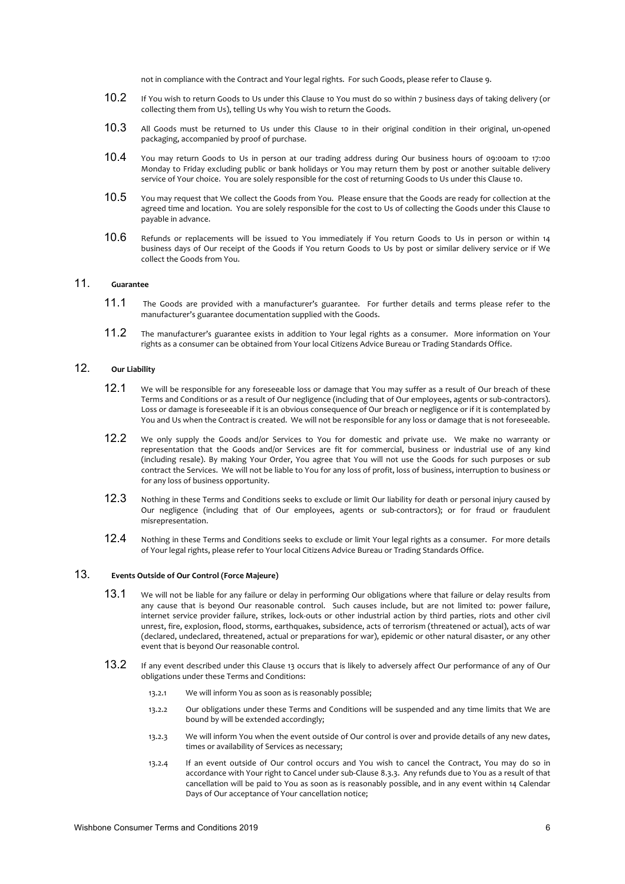not in compliance with the Contract and Your legal rights. For such Goods, please refer to Clause 9.

- 10.2 If You wish to return Goods to Us under this Clause 10 You must do so within 7 business days of taking delivery (or collecting them from Us), telling Us why You wish to return the Goods.
- 10.3 All Goods must be returned to Us under this Clause 10 in their original condition in their original, un-opened packaging, accompanied by proof of purchase.
- 10.4 You may return Goods to Us in person at our trading address during Our business hours of 09:00am to 17:00 Monday to Friday excluding public or bank holidays or You may return them by post or another suitable delivery service of Your choice. You are solely responsible for the cost of returning Goods to Us under this Clause 10.
- 10.5 You may request that We collect the Goods from You. Please ensure that the Goods are ready for collection at the agreed time and location. You are solely responsible for the cost to Us of collecting the Goods under this Clause 10 payable in advance.
- 10.6 Refunds or replacements will be issued to You immediately if You return Goods to Us in person or within 14 business days of Our receipt of the Goods if You return Goods to Us by post or similar delivery service or if We collect the Goods from You.

# 11. **Guarantee**

- 11.1 The Goods are provided with a manufacturer's guarantee. For further details and terms please refer to the manufacturer's guarantee documentation supplied with the Goods.
- 11.2 The manufacturer's guarantee exists in addition to Your legal rights as a consumer. More information on Your rights as a consumer can be obtained from Your local Citizens Advice Bureau or Trading Standards Office.

### 12. **Our Liability**

- 12.1 We will be responsible for any foreseeable loss or damage that You may suffer as a result of Our breach of these Terms and Conditions or as a result of Our negligence (including that of Our employees, agents or sub-contractors). Loss or damage is foreseeable if it is an obvious consequence of Our breach or negligence or if it is contemplated by You and Us when the Contract is created. We will not be responsible for any loss or damage that is not foreseeable.
- 12.2 We only supply the Goods and/or Services to You for domestic and private use. We make no warranty or representation that the Goods and/or Services are fit for commercial, business or industrial use of any kind (including resale). By making Your Order, You agree that You will not use the Goods for such purposes or sub contract the Services. We will not be liable to You for any loss of profit, loss of business, interruption to business or for any loss of business opportunity.
- 12.3 Nothing in these Terms and Conditions seeks to exclude or limit Our liability for death or personal injury caused by Our negligence (including that of Our employees, agents or sub-contractors); or for fraud or fraudulent misrepresentation.
- 12.4 Nothing in these Terms and Conditions seeks to exclude or limit Your legal rights as a consumer. For more details of Your legal rights, please refer to Your local Citizens Advice Bureau or Trading Standards Office.

#### 13. **Events Outside of Our Control (Force Majeure)**

- 13.1 We will not be liable for any failure or delay in performing Our obligations where that failure or delay results from any cause that is beyond Our reasonable control. Such causes include, but are not limited to: power failure, internet service provider failure, strikes, lock-outs or other industrial action by third parties, riots and other civil unrest, fire, explosion, flood, storms, earthquakes, subsidence, acts of terrorism (threatened or actual), acts of war (declared, undeclared, threatened, actual or preparations for war), epidemic or other natural disaster, or any other event that is beyond Our reasonable control.
- 13.2 If any event described under this Clause 13 occurs that is likely to adversely affect Our performance of any of Our obligations under these Terms and Conditions:
	- 13.2.1 We will inform You as soon as is reasonably possible;
	- 13.2.2 Our obligations under these Terms and Conditions will be suspended and any time limits that We are bound by will be extended accordingly;
	- 13.2.3 We will inform You when the event outside of Our control is over and provide details of any new dates, times or availability of Services as necessary;
	- 13.2.4 If an event outside of Our control occurs and You wish to cancel the Contract, You may do so in accordance with Your right to Cancel under sub-Clause 8.3.3. Any refunds due to You as a result of that cancellation will be paid to You as soon as is reasonably possible, and in any event within 14 Calendar Days of Our acceptance of Your cancellation notice;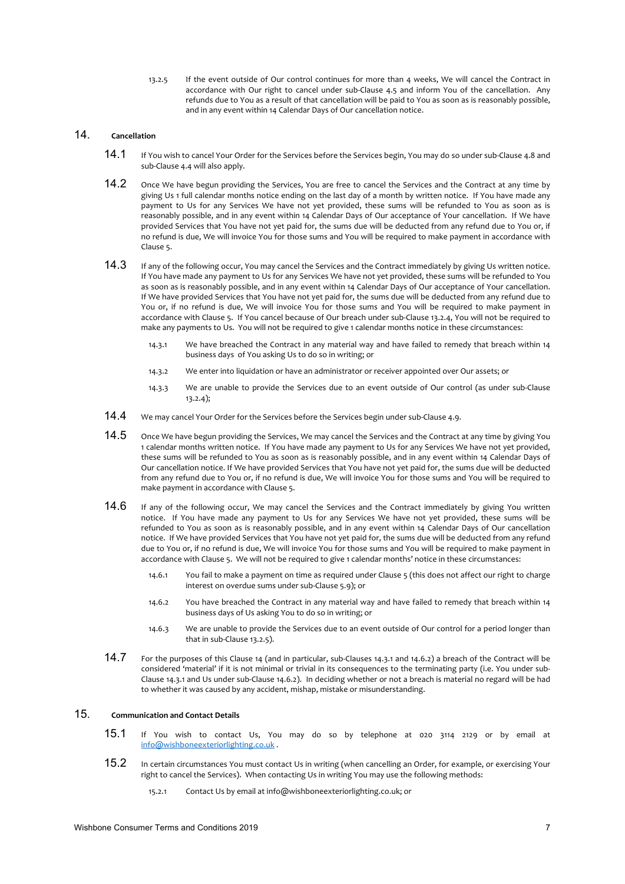13.2.5 If the event outside of Our control continues for more than 4 weeks, We will cancel the Contract in accordance with Our right to cancel under sub-Clause 4.5 and inform You of the cancellation. Any refunds due to You as a result of that cancellation will be paid to You as soon as is reasonably possible, and in any event within 14 Calendar Days of Our cancellation notice.

# 14. **Cancellation**

- 14.1 If You wish to cancel Your Order for the Services before the Services begin, You may do so under sub-Clause 4.8 and sub-Clause 4.4 will also apply.
- 14.2 Once We have begun providing the Services, You are free to cancel the Services and the Contract at any time by giving Us 1 full calendar months notice ending on the last day of a month by written notice. If You have made any payment to Us for any Services We have not yet provided, these sums will be refunded to You as soon as is reasonably possible, and in any event within 14 Calendar Days of Our acceptance of Your cancellation.If We have provided Services that You have not yet paid for, the sums due will be deducted from any refund due to You or, if no refund is due, We will invoice You for those sums and You will be required to make payment in accordance with Clause 5.
- 14.3 If any of the following occur, You may cancel the Services and the Contract immediately by giving Us written notice. If You have made any payment to Us for any Services We have not yet provided, these sums will be refunded to You as soon as is reasonably possible, and in any event within 14 Calendar Days of Our acceptance of Your cancellation. If We have provided Services that You have not yet paid for, the sums due will be deducted from any refund due to You or, if no refund is due, We will invoice You for those sums and You will be required to make payment in accordance with Clause 5. If You cancel because of Our breach under sub-Clause 13.2.4, You will not be required to make any payments to Us.You will not be required to give 1 calendar months notice in these circumstances:
	- 14.3.1 We have breached the Contract in any material way and have failed to remedy that breach within 14 business days of You asking Us to do so in writing; or
	- 14.3.2 We enter into liquidation or have an administrator or receiver appointed over Our assets; or
	- 14.3.3 We are unable to provide the Services due to an event outside of Our control (as under sub-Clause 13.2.4);
- 14.4 We may cancel Your Order for the Services before the Services begin under sub-Clause 4.9.
- $14.5$  Once We have begun providing the Services, We may cancel the Services and the Contract at any time by giving You 1 calendar months written notice. If You have made any payment to Us for any Services We have not yet provided, these sums will be refunded to You as soon as is reasonably possible, and in any event within 14 Calendar Days of Our cancellation notice. If We have provided Services that You have not yet paid for, the sums due will be deducted from any refund due to You or, if no refund is due, We will invoice You for those sums and You will be required to make payment in accordance with Clause 5.
- $14.6$  If any of the following occur, We may cancel the Services and the Contract immediately by giving You written notice. If You have made any payment to Us for any Services We have not yet provided, these sums will be refunded to You as soon as is reasonably possible, and in any event within 14 Calendar Days of Our cancellation notice. If We have provided Services that You have not yet paid for, the sums due will be deducted from any refund due to You or, if no refund is due, We will invoice You for those sums and You will be required to make payment in accordance with Clause 5.We will not be required to give 1 calendar months' notice in these circumstances:
	- 14.6.1 You fail to make a payment on time as required under Clause 5 (this does not affect our right to charge interest on overdue sums under sub-Clause 5.9); or
	- 14.6.2 You have breached the Contract in any material way and have failed to remedy that breach within 14 business days of Us asking You to do so in writing; or
	- 14.6.3 We are unable to provide the Services due to an event outside of Our control for a period longer than that in sub-Clause 13.2.5).
- 14.7 For the purposes of this Clause 14 (and in particular, sub-Clauses 14.3.1 and 14.6.2) a breach of the Contract will be considered 'material' if it is not minimal or trivial in its consequences to the terminating party (i.e. You under sub-Clause 14.3.1 and Us under sub-Clause 14.6.2). In deciding whether or not a breach is material no regard will be had to whether it was caused by any accident, mishap, mistake or misunderstanding.

# 15. **Communication and Contact Details**

- 15.1 If You wish to contact Us, You may do so by telephone at 020 3114 2129 or by email at info@wishboneexteriorlighting.co.uk .
- 15.2 In certain circumstances You must contact Us in writing (when cancelling an Order, for example, or exercising Your right to cancel the Services). When contacting Us in writing You may use the following methods:
	- 15.2.1 Contact Us by email at info@wishboneexteriorlighting.co.uk; or